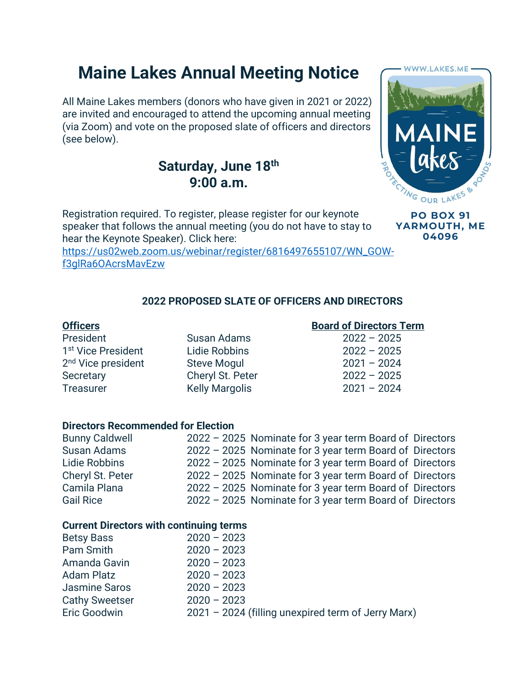# **Maine Lakes Annual Meeting Notice**

All Maine Lakes members (donors who have given in 2021 or 2022) are invited and encouraged to attend the upcoming annual meeting (via Zoom) and vote on the proposed slate of officers and directors (see below).

# **Saturday, June 18th 9:00 a.m.**

Registration required. To register, please register for our keynote speaker that follows the annual meeting (you do not have to stay to hear the Keynote Speaker). Click here:

[https://us02web.zoom.us/webinar/register/6816497655107/WN\\_GOW](https://us02web.zoom.us/webinar/register/6816497655107/WN_GOW-f3glRa6OAcrsMavEzw)[f3glRa6OAcrsMavEzw](https://us02web.zoom.us/webinar/register/6816497655107/WN_GOW-f3glRa6OAcrsMavEzw)

# **2022 PROPOSED SLATE OF OFFICERS AND DIRECTORS**

President Susan Adams 2022 – 2025 1 st Vice President Lidie Robbins 2022 – 2025 2 nd Vice president Steve Mogul 2021 – 2024 Secretary Cheryl St. Peter 2022 – 2025 Treasurer Kelly Margolis 2021 – 2024

## **Officers Board of Directors Term**

## **Directors Recommended for Election**

| <b>Bunny Caldwell</b> | 2022 - 2025 Nominate for 3 year term Board of Directors |  |
|-----------------------|---------------------------------------------------------|--|
| <b>Susan Adams</b>    | 2022 - 2025 Nominate for 3 year term Board of Directors |  |
| Lidie Robbins         | 2022 - 2025 Nominate for 3 year term Board of Directors |  |
| Cheryl St. Peter      | 2022 - 2025 Nominate for 3 year term Board of Directors |  |
| Camila Plana          | 2022 - 2025 Nominate for 3 year term Board of Directors |  |
| <b>Gail Rice</b>      | 2022 - 2025 Nominate for 3 year term Board of Directors |  |

### **Current Directors with continuing terms**

| <b>Betsy Bass</b>     | $2020 - 2023$                                      |
|-----------------------|----------------------------------------------------|
| Pam Smith             | $2020 - 2023$                                      |
| Amanda Gavin          | $2020 - 2023$                                      |
| <b>Adam Platz</b>     | $2020 - 2023$                                      |
| <b>Jasmine Saros</b>  | $2020 - 2023$                                      |
| <b>Cathy Sweetser</b> | $2020 - 2023$                                      |
| Eric Goodwin          | 2021 - 2024 (filling unexpired term of Jerry Marx) |
|                       |                                                    |



**PO BOX 91 YARMOUTH, ME 04096**